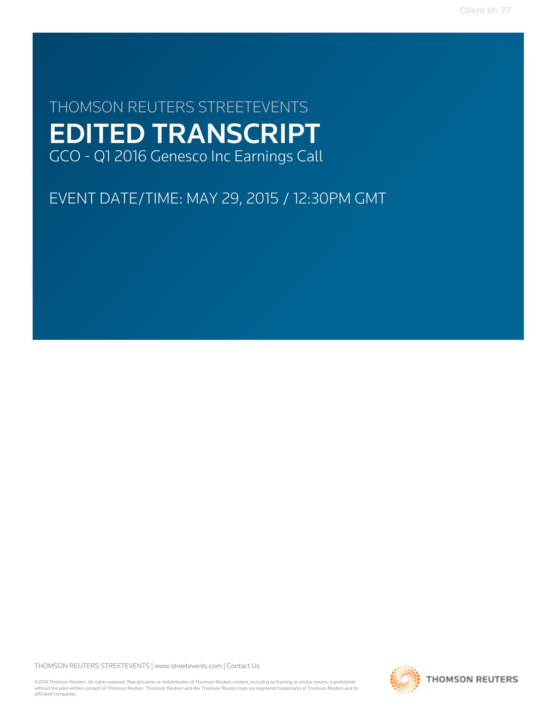**Client Id: 77**

# THOMSON REUTERS STREETEVENTS EDITED TRANSCRIPT GCO - Q1 2016 Genesco Inc Earnings Call

EVENT DATE/TIME: MAY 29, 2015 / 12:30PM GMT

THOMSON REUTERS STREETEVENTS | [www.streetevents.com](http://www.streetevents.com) | [Contact Us](http://www010.streetevents.com/contact.asp)

©2016 Thomson Reuters. All rights reserved. Republication or redistribution of Thomson Reuters content, including by framing or similar means, is prohibited without the prior written consent of Thomson Reuters. 'Thomson Reuters' and the Thomson Reuters logo are registered trademarks of Thomson Reuters and its affiliated companies.

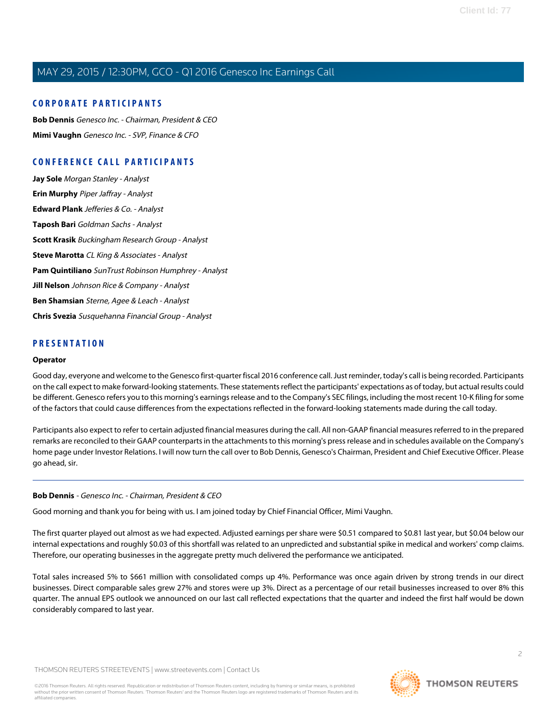### **CORPORATE PARTICIPANTS**

**[Bob Dennis](#page-1-0)** Genesco Inc. - Chairman, President & CEO **[Mimi Vaughn](#page-3-0)** Genesco Inc. - SVP, Finance & CFO

# **CONFERENCE CALL PARTICIPANTS**

**[Jay Sole](#page-7-0)** Morgan Stanley - Analyst **[Erin Murphy](#page-9-0)** Piper Jaffray - Analyst **[Edward Plank](#page-10-0)** Jefferies & Co. - Analyst **[Taposh Bari](#page-12-0)** Goldman Sachs - Analyst **[Scott Krasik](#page-14-0)** Buckingham Research Group - Analyst **[Steve Marotta](#page-16-0)** CL King & Associates - Analyst **[Pam Quintiliano](#page-17-0)** SunTrust Robinson Humphrey - Analyst **[Jill Nelson](#page-20-0)** Johnson Rice & Company - Analyst **[Ben Shamsian](#page-21-0)** Sterne, Agee & Leach - Analyst **[Chris Svezia](#page-22-0)** Susquehanna Financial Group - Analyst

### **PRESENTATION**

#### **Operator**

Good day, everyone and welcome to the Genesco first-quarter fiscal 2016 conference call. Just reminder, today's call is being recorded. Participants on the call expect to make forward-looking statements. These statements reflect the participants' expectations as of today, but actual results could be different. Genesco refers you to this morning's earnings release and to the Company's SEC filings, including the most recent 10-K filing for some of the factors that could cause differences from the expectations reflected in the forward-looking statements made during the call today.

<span id="page-1-0"></span>Participants also expect to refer to certain adjusted financial measures during the call. All non-GAAP financial measures referred to in the prepared remarks are reconciled to their GAAP counterparts in the attachments to this morning's press release and in schedules available on the Company's home page under Investor Relations. I will now turn the call over to Bob Dennis, Genesco's Chairman, President and Chief Executive Officer. Please go ahead, sir.

#### **Bob Dennis** - Genesco Inc. - Chairman, President & CEO

Good morning and thank you for being with us. I am joined today by Chief Financial Officer, Mimi Vaughn.

The first quarter played out almost as we had expected. Adjusted earnings per share were \$0.51 compared to \$0.81 last year, but \$0.04 below our internal expectations and roughly \$0.03 of this shortfall was related to an unpredicted and substantial spike in medical and workers' comp claims. Therefore, our operating businesses in the aggregate pretty much delivered the performance we anticipated.

Total sales increased 5% to \$661 million with consolidated comps up 4%. Performance was once again driven by strong trends in our direct businesses. Direct comparable sales grew 27% and stores were up 3%. Direct as a percentage of our retail businesses increased to over 8% this quarter. The annual EPS outlook we announced on our last call reflected expectations that the quarter and indeed the first half would be down considerably compared to last year.

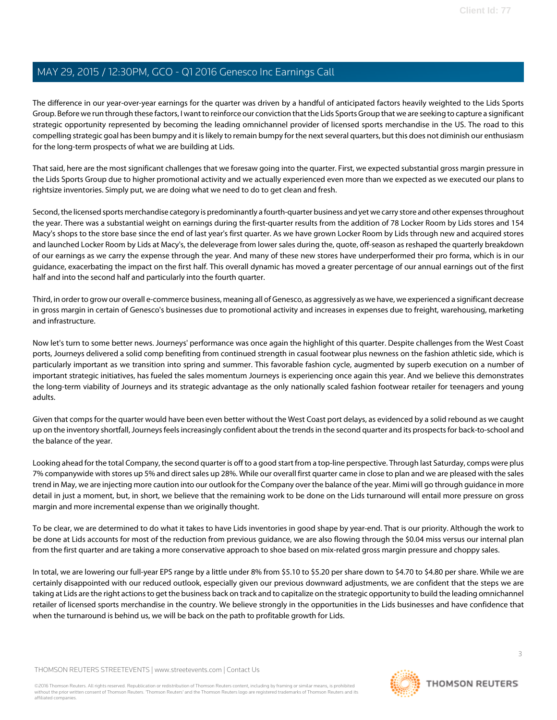The difference in our year-over-year earnings for the quarter was driven by a handful of anticipated factors heavily weighted to the Lids Sports Group. Before we run through these factors, I want to reinforce our conviction that the Lids Sports Group that we are seeking to capture a significant strategic opportunity represented by becoming the leading omnichannel provider of licensed sports merchandise in the US. The road to this compelling strategic goal has been bumpy and it is likely to remain bumpy for the next several quarters, but this does not diminish our enthusiasm for the long-term prospects of what we are building at Lids.

That said, here are the most significant challenges that we foresaw going into the quarter. First, we expected substantial gross margin pressure in the Lids Sports Group due to higher promotional activity and we actually experienced even more than we expected as we executed our plans to rightsize inventories. Simply put, we are doing what we need to do to get clean and fresh.

Second, the licensed sports merchandise category is predominantly a fourth-quarter business and yet we carry store and other expenses throughout the year. There was a substantial weight on earnings during the first-quarter results from the addition of 78 Locker Room by Lids stores and 154 Macy's shops to the store base since the end of last year's first quarter. As we have grown Locker Room by Lids through new and acquired stores and launched Locker Room by Lids at Macy's, the deleverage from lower sales during the, quote, off-season as reshaped the quarterly breakdown of our earnings as we carry the expense through the year. And many of these new stores have underperformed their pro forma, which is in our guidance, exacerbating the impact on the first half. This overall dynamic has moved a greater percentage of our annual earnings out of the first half and into the second half and particularly into the fourth quarter.

Third, in order to grow our overall e-commerce business, meaning all of Genesco, as aggressively as we have, we experienced a significant decrease in gross margin in certain of Genesco's businesses due to promotional activity and increases in expenses due to freight, warehousing, marketing and infrastructure.

Now let's turn to some better news. Journeys' performance was once again the highlight of this quarter. Despite challenges from the West Coast ports, Journeys delivered a solid comp benefiting from continued strength in casual footwear plus newness on the fashion athletic side, which is particularly important as we transition into spring and summer. This favorable fashion cycle, augmented by superb execution on a number of important strategic initiatives, has fueled the sales momentum Journeys is experiencing once again this year. And we believe this demonstrates the long-term viability of Journeys and its strategic advantage as the only nationally scaled fashion footwear retailer for teenagers and young adults.

Given that comps for the quarter would have been even better without the West Coast port delays, as evidenced by a solid rebound as we caught up on the inventory shortfall, Journeys feels increasingly confident about the trends in the second quarter and its prospects for back-to-school and the balance of the year.

Looking ahead for the total Company, the second quarter is off to a good start from a top-line perspective. Through last Saturday, comps were plus 7% companywide with stores up 5% and direct sales up 28%. While our overall first quarter came in close to plan and we are pleased with the sales trend in May, we are injecting more caution into our outlook for the Company over the balance of the year. Mimi will go through guidance in more detail in just a moment, but, in short, we believe that the remaining work to be done on the Lids turnaround will entail more pressure on gross margin and more incremental expense than we originally thought.

To be clear, we are determined to do what it takes to have Lids inventories in good shape by year-end. That is our priority. Although the work to be done at Lids accounts for most of the reduction from previous guidance, we are also flowing through the \$0.04 miss versus our internal plan from the first quarter and are taking a more conservative approach to shoe based on mix-related gross margin pressure and choppy sales.

In total, we are lowering our full-year EPS range by a little under 8% from \$5.10 to \$5.20 per share down to \$4.70 to \$4.80 per share. While we are certainly disappointed with our reduced outlook, especially given our previous downward adjustments, we are confident that the steps we are taking at Lids are the right actions to get the business back on track and to capitalize on the strategic opportunity to build the leading omnichannel retailer of licensed sports merchandise in the country. We believe strongly in the opportunities in the Lids businesses and have confidence that when the turnaround is behind us, we will be back on the path to profitable growth for Lids.

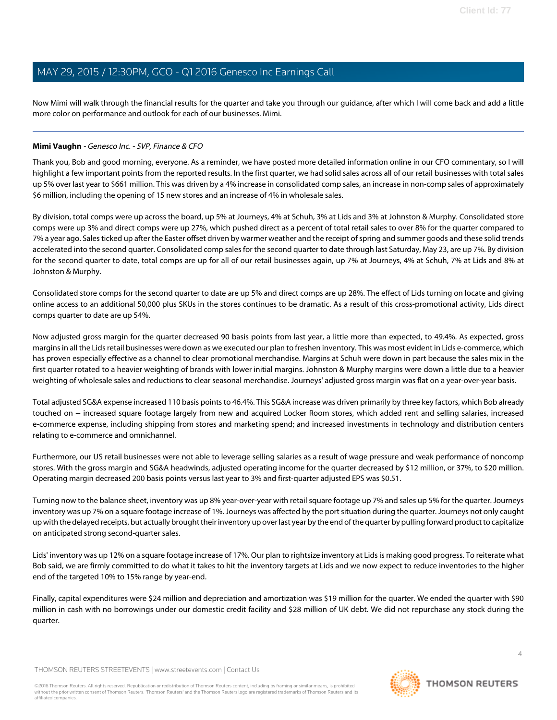Now Mimi will walk through the financial results for the quarter and take you through our guidance, after which I will come back and add a little more color on performance and outlook for each of our businesses. Mimi.

#### <span id="page-3-0"></span>**Mimi Vaughn** - Genesco Inc. - SVP, Finance & CFO

Thank you, Bob and good morning, everyone. As a reminder, we have posted more detailed information online in our CFO commentary, so I will highlight a few important points from the reported results. In the first quarter, we had solid sales across all of our retail businesses with total sales up 5% over last year to \$661 million. This was driven by a 4% increase in consolidated comp sales, an increase in non-comp sales of approximately \$6 million, including the opening of 15 new stores and an increase of 4% in wholesale sales.

By division, total comps were up across the board, up 5% at Journeys, 4% at Schuh, 3% at Lids and 3% at Johnston & Murphy. Consolidated store comps were up 3% and direct comps were up 27%, which pushed direct as a percent of total retail sales to over 8% for the quarter compared to 7% a year ago. Sales ticked up after the Easter offset driven by warmer weather and the receipt of spring and summer goods and these solid trends accelerated into the second quarter. Consolidated comp sales for the second quarter to date through last Saturday, May 23, are up 7%. By division for the second quarter to date, total comps are up for all of our retail businesses again, up 7% at Journeys, 4% at Schuh, 7% at Lids and 8% at Johnston & Murphy.

Consolidated store comps for the second quarter to date are up 5% and direct comps are up 28%. The effect of Lids turning on locate and giving online access to an additional 50,000 plus SKUs in the stores continues to be dramatic. As a result of this cross-promotional activity, Lids direct comps quarter to date are up 54%.

Now adjusted gross margin for the quarter decreased 90 basis points from last year, a little more than expected, to 49.4%. As expected, gross margins in all the Lids retail businesses were down as we executed our plan to freshen inventory. This was most evident in Lids e-commerce, which has proven especially effective as a channel to clear promotional merchandise. Margins at Schuh were down in part because the sales mix in the first quarter rotated to a heavier weighting of brands with lower initial margins. Johnston & Murphy margins were down a little due to a heavier weighting of wholesale sales and reductions to clear seasonal merchandise. Journeys' adjusted gross margin was flat on a year-over-year basis.

Total adjusted SG&A expense increased 110 basis points to 46.4%. This SG&A increase was driven primarily by three key factors, which Bob already touched on -- increased square footage largely from new and acquired Locker Room stores, which added rent and selling salaries, increased e-commerce expense, including shipping from stores and marketing spend; and increased investments in technology and distribution centers relating to e-commerce and omnichannel.

Furthermore, our US retail businesses were not able to leverage selling salaries as a result of wage pressure and weak performance of noncomp stores. With the gross margin and SG&A headwinds, adjusted operating income for the quarter decreased by \$12 million, or 37%, to \$20 million. Operating margin decreased 200 basis points versus last year to 3% and first-quarter adjusted EPS was \$0.51.

Turning now to the balance sheet, inventory was up 8% year-over-year with retail square footage up 7% and sales up 5% for the quarter. Journeys inventory was up 7% on a square footage increase of 1%. Journeys was affected by the port situation during the quarter. Journeys not only caught up with the delayed receipts, but actually brought their inventory up over last year by the end of the quarter by pulling forward product to capitalize on anticipated strong second-quarter sales.

Lids' inventory was up 12% on a square footage increase of 17%. Our plan to rightsize inventory at Lids is making good progress. To reiterate what Bob said, we are firmly committed to do what it takes to hit the inventory targets at Lids and we now expect to reduce inventories to the higher end of the targeted 10% to 15% range by year-end.

Finally, capital expenditures were \$24 million and depreciation and amortization was \$19 million for the quarter. We ended the quarter with \$90 million in cash with no borrowings under our domestic credit facility and \$28 million of UK debt. We did not repurchase any stock during the quarter.

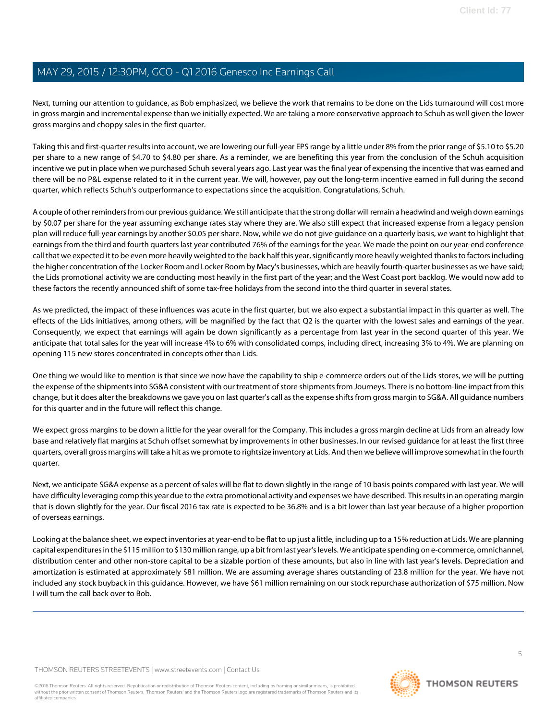Next, turning our attention to guidance, as Bob emphasized, we believe the work that remains to be done on the Lids turnaround will cost more in gross margin and incremental expense than we initially expected. We are taking a more conservative approach to Schuh as well given the lower gross margins and choppy sales in the first quarter.

Taking this and first-quarter results into account, we are lowering our full-year EPS range by a little under 8% from the prior range of \$5.10 to \$5.20 per share to a new range of \$4.70 to \$4.80 per share. As a reminder, we are benefiting this year from the conclusion of the Schuh acquisition incentive we put in place when we purchased Schuh several years ago. Last year was the final year of expensing the incentive that was earned and there will be no P&L expense related to it in the current year. We will, however, pay out the long-term incentive earned in full during the second quarter, which reflects Schuh's outperformance to expectations since the acquisition. Congratulations, Schuh.

A couple of other reminders from our previous guidance. We still anticipate that the strong dollar will remain a headwind and weigh down earnings by \$0.07 per share for the year assuming exchange rates stay where they are. We also still expect that increased expense from a legacy pension plan will reduce full-year earnings by another \$0.05 per share. Now, while we do not give guidance on a quarterly basis, we want to highlight that earnings from the third and fourth quarters last year contributed 76% of the earnings for the year. We made the point on our year-end conference call that we expected it to be even more heavily weighted to the back half this year, significantly more heavily weighted thanks to factors including the higher concentration of the Locker Room and Locker Room by Macy's businesses, which are heavily fourth-quarter businesses as we have said; the Lids promotional activity we are conducting most heavily in the first part of the year; and the West Coast port backlog. We would now add to these factors the recently announced shift of some tax-free holidays from the second into the third quarter in several states.

As we predicted, the impact of these influences was acute in the first quarter, but we also expect a substantial impact in this quarter as well. The effects of the Lids initiatives, among others, will be magnified by the fact that Q2 is the quarter with the lowest sales and earnings of the year. Consequently, we expect that earnings will again be down significantly as a percentage from last year in the second quarter of this year. We anticipate that total sales for the year will increase 4% to 6% with consolidated comps, including direct, increasing 3% to 4%. We are planning on opening 115 new stores concentrated in concepts other than Lids.

One thing we would like to mention is that since we now have the capability to ship e-commerce orders out of the Lids stores, we will be putting the expense of the shipments into SG&A consistent with our treatment of store shipments from Journeys. There is no bottom-line impact from this change, but it does alter the breakdowns we gave you on last quarter's call as the expense shifts from gross margin to SG&A. All guidance numbers for this quarter and in the future will reflect this change.

We expect gross margins to be down a little for the year overall for the Company. This includes a gross margin decline at Lids from an already low base and relatively flat margins at Schuh offset somewhat by improvements in other businesses. In our revised guidance for at least the first three quarters, overall gross margins will take a hit as we promote to rightsize inventory at Lids. And then we believe will improve somewhat in the fourth quarter.

Next, we anticipate SG&A expense as a percent of sales will be flat to down slightly in the range of 10 basis points compared with last year. We will have difficulty leveraging comp this year due to the extra promotional activity and expenses we have described. This results in an operating margin that is down slightly for the year. Our fiscal 2016 tax rate is expected to be 36.8% and is a bit lower than last year because of a higher proportion of overseas earnings.

Looking at the balance sheet, we expect inventories at year-end to be flat to up just a little, including up to a 15% reduction at Lids. We are planning capital expenditures in the \$115 million to \$130 million range, up a bit from last year's levels. We anticipate spending on e-commerce, omnichannel, distribution center and other non-store capital to be a sizable portion of these amounts, but also in line with last year's levels. Depreciation and amortization is estimated at approximately \$81 million. We are assuming average shares outstanding of 23.8 million for the year. We have not included any stock buyback in this guidance. However, we have \$61 million remaining on our stock repurchase authorization of \$75 million. Now I will turn the call back over to Bob.

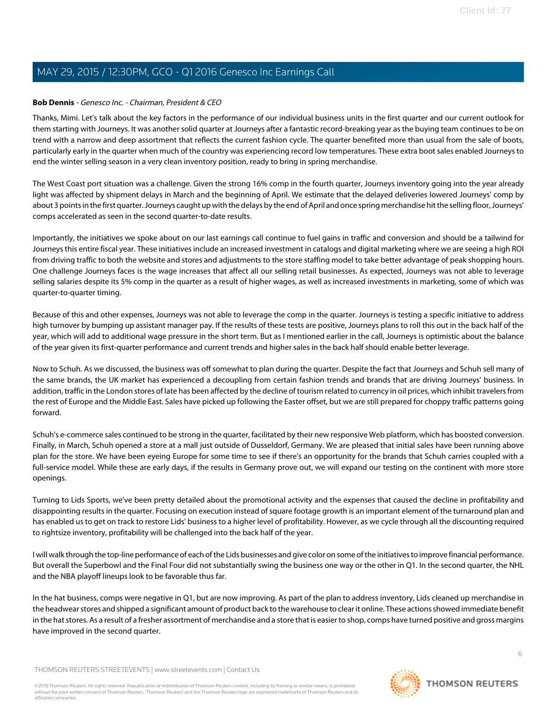#### **Bob Dennis** - Genesco Inc. - Chairman, President & CEO

Thanks, Mimi. Let's talk about the key factors in the performance of our individual business units in the first quarter and our current outlook for them starting with Journeys. It was another solid quarter at Journeys after a fantastic record-breaking year as the buying team continues to be on trend with a narrow and deep assortment that reflects the current fashion cycle. The quarter benefited more than usual from the sale of boots, particularly early in the quarter when much of the country was experiencing record low temperatures. These extra boot sales enabled Journeys to end the winter selling season in a very clean inventory position, ready to bring in spring merchandise.

The West Coast port situation was a challenge. Given the strong 16% comp in the fourth quarter, Journeys inventory going into the year already light was affected by shipment delays in March and the beginning of April. We estimate that the delayed deliveries lowered Journeys' comp by about 3 points in the first quarter. Journeys caught up with the delays by the end of April and once spring merchandise hit the selling floor, Journeys' comps accelerated as seen in the second quarter-to-date results.

Importantly, the initiatives we spoke about on our last earnings call continue to fuel gains in traffic and conversion and should be a tailwind for Journeys this entire fiscal year. These initiatives include an increased investment in catalogs and digital marketing where we are seeing a high ROI from driving traffic to both the website and stores and adjustments to the store staffing model to take better advantage of peak shopping hours. One challenge Journeys faces is the wage increases that affect all our selling retail businesses. As expected, Journeys was not able to leverage selling salaries despite its 5% comp in the quarter as a result of higher wages, as well as increased investments in marketing, some of which was quarter-to-quarter timing.

Because of this and other expenses, Journeys was not able to leverage the comp in the quarter. Journeys is testing a specific initiative to address high turnover by bumping up assistant manager pay. If the results of these tests are positive, Journeys plans to roll this out in the back half of the year, which will add to additional wage pressure in the short term. But as I mentioned earlier in the call, Journeys is optimistic about the balance of the year given its first-quarter performance and current trends and higher sales in the back half should enable better leverage.

Now to Schuh. As we discussed, the business was off somewhat to plan during the quarter. Despite the fact that Journeys and Schuh sell many of the same brands, the UK market has experienced a decoupling from certain fashion trends and brands that are driving Journeys' business. In addition, traffic in the London stores of late has been affected by the decline of tourism related to currency in oil prices, which inhibit travelers from the rest of Europe and the Middle East. Sales have picked up following the Easter offset, but we are still prepared for choppy traffic patterns going forward.

Schuh's e-commerce sales continued to be strong in the quarter, facilitated by their new responsive Web platform, which has boosted conversion. Finally, in March, Schuh opened a store at a mall just outside of Dusseldorf, Germany. We are pleased that initial sales have been running above plan for the store. We have been eyeing Europe for some time to see if there's an opportunity for the brands that Schuh carries coupled with a full-service model. While these are early days, if the results in Germany prove out, we will expand our testing on the continent with more store openings.

Turning to Lids Sports, we've been pretty detailed about the promotional activity and the expenses that caused the decline in profitability and disappointing results in the quarter. Focusing on execution instead of square footage growth is an important element of the turnaround plan and has enabled us to get on track to restore Lids' business to a higher level of profitability. However, as we cycle through all the discounting required to rightsize inventory, profitability will be challenged into the back half of the year.

I will walk through the top-line performance of each of the Lids businesses and give color on some of the initiatives to improve financial performance. But overall the Superbowl and the Final Four did not substantially swing the business one way or the other in Q1. In the second quarter, the NHL and the NBA playoff lineups look to be favorable thus far.

In the hat business, comps were negative in Q1, but are now improving. As part of the plan to address inventory, Lids cleaned up merchandise in the headwear stores and shipped a significant amount of product back to the warehouse to clear it online. These actions showed immediate benefit in the hat stores. As a result of a fresher assortment of merchandise and a store that is easier to shop, comps have turned positive and gross margins have improved in the second quarter.

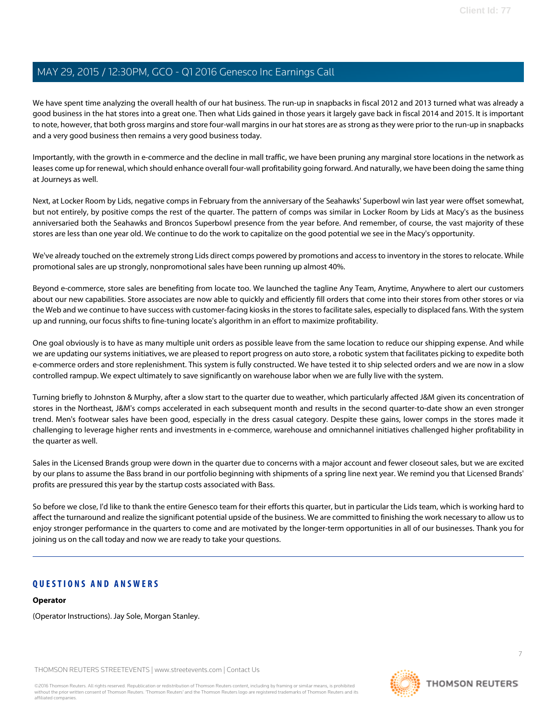We have spent time analyzing the overall health of our hat business. The run-up in snapbacks in fiscal 2012 and 2013 turned what was already a good business in the hat stores into a great one. Then what Lids gained in those years it largely gave back in fiscal 2014 and 2015. It is important to note, however, that both gross margins and store four-wall margins in our hat stores are as strong as they were prior to the run-up in snapbacks and a very good business then remains a very good business today.

Importantly, with the growth in e-commerce and the decline in mall traffic, we have been pruning any marginal store locations in the network as leases come up for renewal, which should enhance overall four-wall profitability going forward. And naturally, we have been doing the same thing at Journeys as well.

Next, at Locker Room by Lids, negative comps in February from the anniversary of the Seahawks' Superbowl win last year were offset somewhat, but not entirely, by positive comps the rest of the quarter. The pattern of comps was similar in Locker Room by Lids at Macy's as the business anniversaried both the Seahawks and Broncos Superbowl presence from the year before. And remember, of course, the vast majority of these stores are less than one year old. We continue to do the work to capitalize on the good potential we see in the Macy's opportunity.

We've already touched on the extremely strong Lids direct comps powered by promotions and access to inventory in the stores to relocate. While promotional sales are up strongly, nonpromotional sales have been running up almost 40%.

Beyond e-commerce, store sales are benefiting from locate too. We launched the tagline Any Team, Anytime, Anywhere to alert our customers about our new capabilities. Store associates are now able to quickly and efficiently fill orders that come into their stores from other stores or via the Web and we continue to have success with customer-facing kiosks in the stores to facilitate sales, especially to displaced fans. With the system up and running, our focus shifts to fine-tuning locate's algorithm in an effort to maximize profitability.

One goal obviously is to have as many multiple unit orders as possible leave from the same location to reduce our shipping expense. And while we are updating our systems initiatives, we are pleased to report progress on auto store, a robotic system that facilitates picking to expedite both e-commerce orders and store replenishment. This system is fully constructed. We have tested it to ship selected orders and we are now in a slow controlled rampup. We expect ultimately to save significantly on warehouse labor when we are fully live with the system.

Turning briefly to Johnston & Murphy, after a slow start to the quarter due to weather, which particularly affected J&M given its concentration of stores in the Northeast, J&M's comps accelerated in each subsequent month and results in the second quarter-to-date show an even stronger trend. Men's footwear sales have been good, especially in the dress casual category. Despite these gains, lower comps in the stores made it challenging to leverage higher rents and investments in e-commerce, warehouse and omnichannel initiatives challenged higher profitability in the quarter as well.

Sales in the Licensed Brands group were down in the quarter due to concerns with a major account and fewer closeout sales, but we are excited by our plans to assume the Bass brand in our portfolio beginning with shipments of a spring line next year. We remind you that Licensed Brands' profits are pressured this year by the startup costs associated with Bass.

So before we close, I'd like to thank the entire Genesco team for their efforts this quarter, but in particular the Lids team, which is working hard to affect the turnaround and realize the significant potential upside of the business. We are committed to finishing the work necessary to allow us to enjoy stronger performance in the quarters to come and are motivated by the longer-term opportunities in all of our businesses. Thank you for joining us on the call today and now we are ready to take your questions.

### **QUESTIONS AND ANSWERS**

#### **Operator**

(Operator Instructions). Jay Sole, Morgan Stanley.

THOMSON REUTERS STREETEVENTS | [www.streetevents.com](http://www.streetevents.com) | [Contact Us](http://www010.streetevents.com/contact.asp)

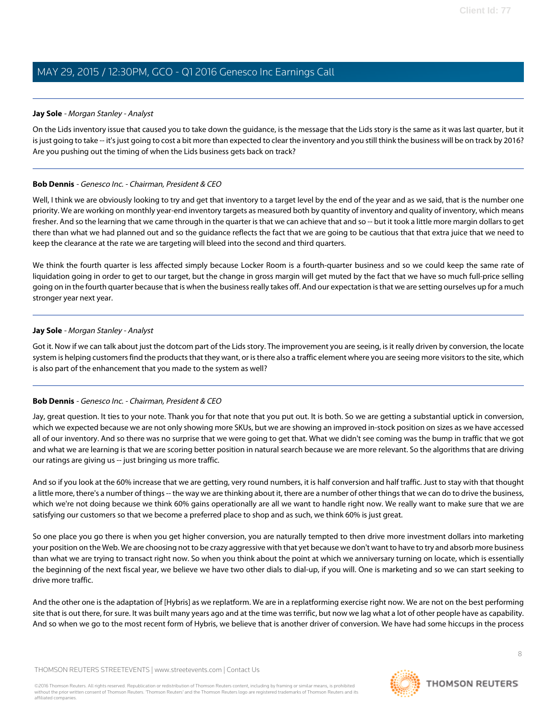#### <span id="page-7-0"></span>**Jay Sole** - Morgan Stanley - Analyst

On the Lids inventory issue that caused you to take down the guidance, is the message that the Lids story is the same as it was last quarter, but it is just going to take -- it's just going to cost a bit more than expected to clear the inventory and you still think the business will be on track by 2016? Are you pushing out the timing of when the Lids business gets back on track?

#### **Bob Dennis** - Genesco Inc. - Chairman, President & CEO

Well, I think we are obviously looking to try and get that inventory to a target level by the end of the year and as we said, that is the number one priority. We are working on monthly year-end inventory targets as measured both by quantity of inventory and quality of inventory, which means fresher. And so the learning that we came through in the quarter is that we can achieve that and so -- but it took a little more margin dollars to get there than what we had planned out and so the guidance reflects the fact that we are going to be cautious that that extra juice that we need to keep the clearance at the rate we are targeting will bleed into the second and third quarters.

We think the fourth quarter is less affected simply because Locker Room is a fourth-quarter business and so we could keep the same rate of liquidation going in order to get to our target, but the change in gross margin will get muted by the fact that we have so much full-price selling going on in the fourth quarter because that is when the business really takes off. And our expectation is that we are setting ourselves up for a much stronger year next year.

#### **Jay Sole** - Morgan Stanley - Analyst

Got it. Now if we can talk about just the dotcom part of the Lids story. The improvement you are seeing, is it really driven by conversion, the locate system is helping customers find the products that they want, or is there also a traffic element where you are seeing more visitors to the site, which is also part of the enhancement that you made to the system as well?

#### **Bob Dennis** - Genesco Inc. - Chairman, President & CEO

Jay, great question. It ties to your note. Thank you for that note that you put out. It is both. So we are getting a substantial uptick in conversion, which we expected because we are not only showing more SKUs, but we are showing an improved in-stock position on sizes as we have accessed all of our inventory. And so there was no surprise that we were going to get that. What we didn't see coming was the bump in traffic that we got and what we are learning is that we are scoring better position in natural search because we are more relevant. So the algorithms that are driving our ratings are giving us -- just bringing us more traffic.

And so if you look at the 60% increase that we are getting, very round numbers, it is half conversion and half traffic. Just to stay with that thought a little more, there's a number of things -- the way we are thinking about it, there are a number of other things that we can do to drive the business, which we're not doing because we think 60% gains operationally are all we want to handle right now. We really want to make sure that we are satisfying our customers so that we become a preferred place to shop and as such, we think 60% is just great.

So one place you go there is when you get higher conversion, you are naturally tempted to then drive more investment dollars into marketing your position on the Web. We are choosing not to be crazy aggressive with that yet because we don't want to have to try and absorb more business than what we are trying to transact right now. So when you think about the point at which we anniversary turning on locate, which is essentially the beginning of the next fiscal year, we believe we have two other dials to dial-up, if you will. One is marketing and so we can start seeking to drive more traffic.

And the other one is the adaptation of [Hybris] as we replatform. We are in a replatforming exercise right now. We are not on the best performing site that is out there, for sure. It was built many years ago and at the time was terrific, but now we lag what a lot of other people have as capability. And so when we go to the most recent form of Hybris, we believe that is another driver of conversion. We have had some hiccups in the process

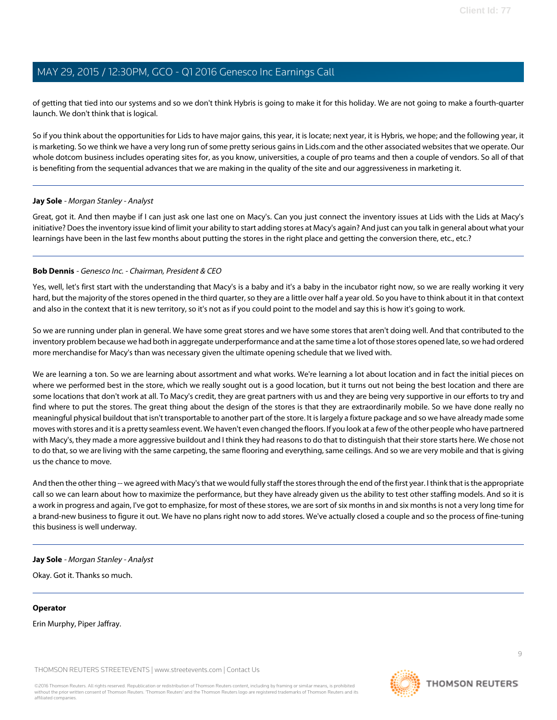of getting that tied into our systems and so we don't think Hybris is going to make it for this holiday. We are not going to make a fourth-quarter launch. We don't think that is logical.

So if you think about the opportunities for Lids to have major gains, this year, it is locate; next year, it is Hybris, we hope; and the following year, it is marketing. So we think we have a very long run of some pretty serious gains in Lids.com and the other associated websites that we operate. Our whole dotcom business includes operating sites for, as you know, universities, a couple of pro teams and then a couple of vendors. So all of that is benefiting from the sequential advances that we are making in the quality of the site and our aggressiveness in marketing it.

#### **Jay Sole** - Morgan Stanley - Analyst

Great, got it. And then maybe if I can just ask one last one on Macy's. Can you just connect the inventory issues at Lids with the Lids at Macy's initiative? Does the inventory issue kind of limit your ability to start adding stores at Macy's again? And just can you talk in general about what your learnings have been in the last few months about putting the stores in the right place and getting the conversion there, etc., etc.?

#### **Bob Dennis** - Genesco Inc. - Chairman, President & CEO

Yes, well, let's first start with the understanding that Macy's is a baby and it's a baby in the incubator right now, so we are really working it very hard, but the majority of the stores opened in the third quarter, so they are a little over half a year old. So you have to think about it in that context and also in the context that it is new territory, so it's not as if you could point to the model and say this is how it's going to work.

So we are running under plan in general. We have some great stores and we have some stores that aren't doing well. And that contributed to the inventory problem because we had both in aggregate underperformance and at the same time a lot of those stores opened late, so we had ordered more merchandise for Macy's than was necessary given the ultimate opening schedule that we lived with.

We are learning a ton. So we are learning about assortment and what works. We're learning a lot about location and in fact the initial pieces on where we performed best in the store, which we really sought out is a good location, but it turns out not being the best location and there are some locations that don't work at all. To Macy's credit, they are great partners with us and they are being very supportive in our efforts to try and find where to put the stores. The great thing about the design of the stores is that they are extraordinarily mobile. So we have done really no meaningful physical buildout that isn't transportable to another part of the store. It is largely a fixture package and so we have already made some moves with stores and it is a pretty seamless event. We haven't even changed the floors. If you look at a few of the other people who have partnered with Macy's, they made a more aggressive buildout and I think they had reasons to do that to distinguish that their store starts here. We chose not to do that, so we are living with the same carpeting, the same flooring and everything, same ceilings. And so we are very mobile and that is giving us the chance to move.

And then the other thing -- we agreed with Macy's that we would fully staff the stores through the end of the first year. I think that is the appropriate call so we can learn about how to maximize the performance, but they have already given us the ability to test other staffing models. And so it is a work in progress and again, I've got to emphasize, for most of these stores, we are sort of six months in and six months is not a very long time for a brand-new business to figure it out. We have no plans right now to add stores. We've actually closed a couple and so the process of fine-tuning this business is well underway.

#### **Jay Sole** - Morgan Stanley - Analyst

Okay. Got it. Thanks so much.

#### **Operator**

Erin Murphy, Piper Jaffray.

THOMSON REUTERS STREETEVENTS | [www.streetevents.com](http://www.streetevents.com) | [Contact Us](http://www010.streetevents.com/contact.asp)

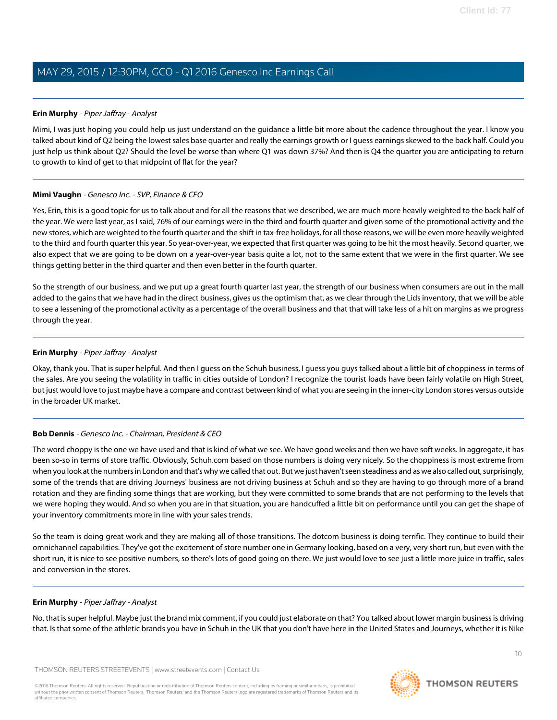#### <span id="page-9-0"></span>**Erin Murphy** - Piper Jaffray - Analyst

Mimi, I was just hoping you could help us just understand on the guidance a little bit more about the cadence throughout the year. I know you talked about kind of Q2 being the lowest sales base quarter and really the earnings growth or I guess earnings skewed to the back half. Could you just help us think about Q2? Should the level be worse than where Q1 was down 37%? And then is Q4 the quarter you are anticipating to return to growth to kind of get to that midpoint of flat for the year?

#### **Mimi Vaughn** - Genesco Inc. - SVP, Finance & CFO

Yes, Erin, this is a good topic for us to talk about and for all the reasons that we described, we are much more heavily weighted to the back half of the year. We were last year, as I said, 76% of our earnings were in the third and fourth quarter and given some of the promotional activity and the new stores, which are weighted to the fourth quarter and the shift in tax-free holidays, for all those reasons, we will be even more heavily weighted to the third and fourth quarter this year. So year-over-year, we expected that first quarter was going to be hit the most heavily. Second quarter, we also expect that we are going to be down on a year-over-year basis quite a lot, not to the same extent that we were in the first quarter. We see things getting better in the third quarter and then even better in the fourth quarter.

So the strength of our business, and we put up a great fourth quarter last year, the strength of our business when consumers are out in the mall added to the gains that we have had in the direct business, gives us the optimism that, as we clear through the Lids inventory, that we will be able to see a lessening of the promotional activity as a percentage of the overall business and that that will take less of a hit on margins as we progress through the year.

#### **Erin Murphy** - Piper Jaffray - Analyst

Okay, thank you. That is super helpful. And then I guess on the Schuh business, I guess you guys talked about a little bit of choppiness in terms of the sales. Are you seeing the volatility in traffic in cities outside of London? I recognize the tourist loads have been fairly volatile on High Street, but just would love to just maybe have a compare and contrast between kind of what you are seeing in the inner-city London stores versus outside in the broader UK market.

#### **Bob Dennis** - Genesco Inc. - Chairman, President & CEO

The word choppy is the one we have used and that is kind of what we see. We have good weeks and then we have soft weeks. In aggregate, it has been so-so in terms of store traffic. Obviously, Schuh.com based on those numbers is doing very nicely. So the choppiness is most extreme from when you look at the numbers in London and that's why we called that out. But we just haven't seen steadiness and as we also called out, surprisingly, some of the trends that are driving Journeys' business are not driving business at Schuh and so they are having to go through more of a brand rotation and they are finding some things that are working, but they were committed to some brands that are not performing to the levels that we were hoping they would. And so when you are in that situation, you are handcuffed a little bit on performance until you can get the shape of your inventory commitments more in line with your sales trends.

So the team is doing great work and they are making all of those transitions. The dotcom business is doing terrific. They continue to build their omnichannel capabilities. They've got the excitement of store number one in Germany looking, based on a very, very short run, but even with the short run, it is nice to see positive numbers, so there's lots of good going on there. We just would love to see just a little more juice in traffic, sales and conversion in the stores.

#### **Erin Murphy** - Piper Jaffray - Analyst

No, that is super helpful. Maybe just the brand mix comment, if you could just elaborate on that? You talked about lower margin business is driving that. Is that some of the athletic brands you have in Schuh in the UK that you don't have here in the United States and Journeys, whether it is Nike

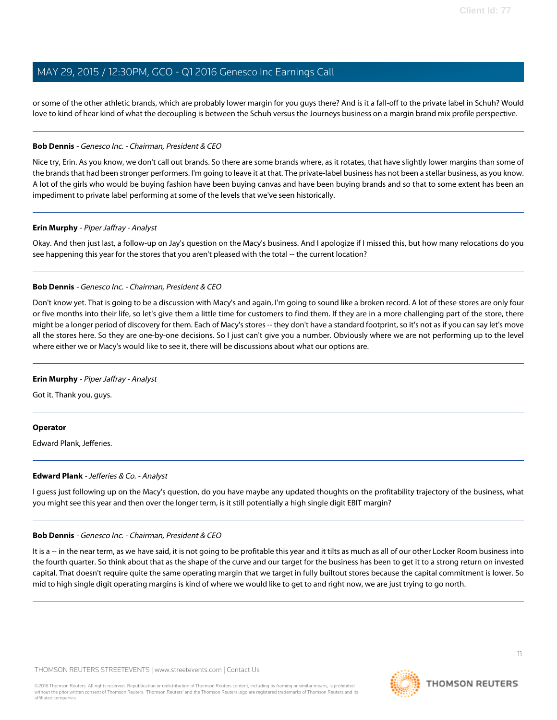or some of the other athletic brands, which are probably lower margin for you guys there? And is it a fall-off to the private label in Schuh? Would love to kind of hear kind of what the decoupling is between the Schuh versus the Journeys business on a margin brand mix profile perspective.

#### **Bob Dennis** - Genesco Inc. - Chairman, President & CEO

Nice try, Erin. As you know, we don't call out brands. So there are some brands where, as it rotates, that have slightly lower margins than some of the brands that had been stronger performers. I'm going to leave it at that. The private-label business has not been a stellar business, as you know. A lot of the girls who would be buying fashion have been buying canvas and have been buying brands and so that to some extent has been an impediment to private label performing at some of the levels that we've seen historically.

#### **Erin Murphy** - Piper Jaffray - Analyst

Okay. And then just last, a follow-up on Jay's question on the Macy's business. And I apologize if I missed this, but how many relocations do you see happening this year for the stores that you aren't pleased with the total -- the current location?

#### **Bob Dennis** - Genesco Inc. - Chairman, President & CEO

Don't know yet. That is going to be a discussion with Macy's and again, I'm going to sound like a broken record. A lot of these stores are only four or five months into their life, so let's give them a little time for customers to find them. If they are in a more challenging part of the store, there might be a longer period of discovery for them. Each of Macy's stores -- they don't have a standard footprint, so it's not as if you can say let's move all the stores here. So they are one-by-one decisions. So I just can't give you a number. Obviously where we are not performing up to the level where either we or Macy's would like to see it, there will be discussions about what our options are.

#### **Erin Murphy** - Piper Jaffray - Analyst

Got it. Thank you, guys.

#### <span id="page-10-0"></span>**Operator**

Edward Plank, Jefferies.

#### **Edward Plank** - Jefferies & Co. - Analyst

I guess just following up on the Macy's question, do you have maybe any updated thoughts on the profitability trajectory of the business, what you might see this year and then over the longer term, is it still potentially a high single digit EBIT margin?

#### **Bob Dennis** - Genesco Inc. - Chairman, President & CEO

It is a -- in the near term, as we have said, it is not going to be profitable this year and it tilts as much as all of our other Locker Room business into the fourth quarter. So think about that as the shape of the curve and our target for the business has been to get it to a strong return on invested capital. That doesn't require quite the same operating margin that we target in fully builtout stores because the capital commitment is lower. So mid to high single digit operating margins is kind of where we would like to get to and right now, we are just trying to go north.

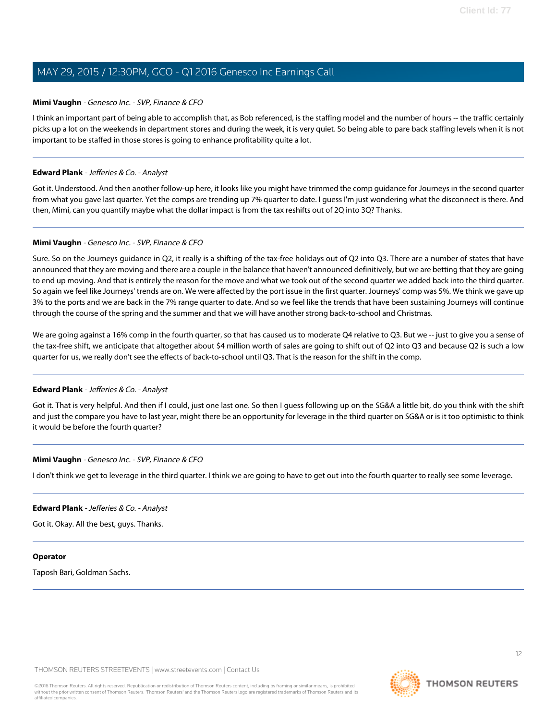#### **Mimi Vaughn** - Genesco Inc. - SVP, Finance & CFO

I think an important part of being able to accomplish that, as Bob referenced, is the staffing model and the number of hours -- the traffic certainly picks up a lot on the weekends in department stores and during the week, it is very quiet. So being able to pare back staffing levels when it is not important to be staffed in those stores is going to enhance profitability quite a lot.

#### **Edward Plank** - Jefferies & Co. - Analyst

Got it. Understood. And then another follow-up here, it looks like you might have trimmed the comp guidance for Journeys in the second quarter from what you gave last quarter. Yet the comps are trending up 7% quarter to date. I guess I'm just wondering what the disconnect is there. And then, Mimi, can you quantify maybe what the dollar impact is from the tax reshifts out of 2Q into 3Q? Thanks.

#### **Mimi Vaughn** - Genesco Inc. - SVP, Finance & CFO

Sure. So on the Journeys guidance in Q2, it really is a shifting of the tax-free holidays out of Q2 into Q3. There are a number of states that have announced that they are moving and there are a couple in the balance that haven't announced definitively, but we are betting that they are going to end up moving. And that is entirely the reason for the move and what we took out of the second quarter we added back into the third quarter. So again we feel like Journeys' trends are on. We were affected by the port issue in the first quarter. Journeys' comp was 5%. We think we gave up 3% to the ports and we are back in the 7% range quarter to date. And so we feel like the trends that have been sustaining Journeys will continue through the course of the spring and the summer and that we will have another strong back-to-school and Christmas.

We are going against a 16% comp in the fourth quarter, so that has caused us to moderate Q4 relative to Q3. But we -- just to give you a sense of the tax-free shift, we anticipate that altogether about \$4 million worth of sales are going to shift out of Q2 into Q3 and because Q2 is such a low quarter for us, we really don't see the effects of back-to-school until Q3. That is the reason for the shift in the comp.

#### **Edward Plank** - Jefferies & Co. - Analyst

Got it. That is very helpful. And then if I could, just one last one. So then I guess following up on the SG&A a little bit, do you think with the shift and just the compare you have to last year, might there be an opportunity for leverage in the third quarter on SG&A or is it too optimistic to think it would be before the fourth quarter?

#### **Mimi Vaughn** - Genesco Inc. - SVP, Finance & CFO

I don't think we get to leverage in the third quarter. I think we are going to have to get out into the fourth quarter to really see some leverage.

#### **Edward Plank** - Jefferies & Co. - Analyst

Got it. Okay. All the best, guys. Thanks.

#### **Operator**

Taposh Bari, Goldman Sachs.

THOMSON REUTERS STREETEVENTS | [www.streetevents.com](http://www.streetevents.com) | [Contact Us](http://www010.streetevents.com/contact.asp)

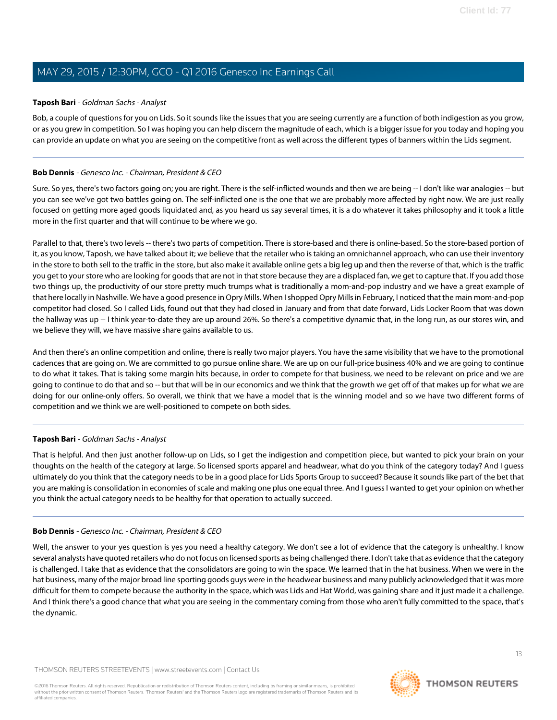#### <span id="page-12-0"></span>**Taposh Bari** - Goldman Sachs - Analyst

Bob, a couple of questions for you on Lids. So it sounds like the issues that you are seeing currently are a function of both indigestion as you grow, or as you grew in competition. So I was hoping you can help discern the magnitude of each, which is a bigger issue for you today and hoping you can provide an update on what you are seeing on the competitive front as well across the different types of banners within the Lids segment.

#### **Bob Dennis** - Genesco Inc. - Chairman, President & CEO

Sure. So yes, there's two factors going on; you are right. There is the self-inflicted wounds and then we are being -- I don't like war analogies -- but you can see we've got two battles going on. The self-inflicted one is the one that we are probably more affected by right now. We are just really focused on getting more aged goods liquidated and, as you heard us say several times, it is a do whatever it takes philosophy and it took a little more in the first quarter and that will continue to be where we go.

Parallel to that, there's two levels -- there's two parts of competition. There is store-based and there is online-based. So the store-based portion of it, as you know, Taposh, we have talked about it; we believe that the retailer who is taking an omnichannel approach, who can use their inventory in the store to both sell to the traffic in the store, but also make it available online gets a big leg up and then the reverse of that, which is the traffic you get to your store who are looking for goods that are not in that store because they are a displaced fan, we get to capture that. If you add those two things up, the productivity of our store pretty much trumps what is traditionally a mom-and-pop industry and we have a great example of that here locally in Nashville. We have a good presence in Opry Mills. When I shopped Opry Mills in February, I noticed that the main mom-and-pop competitor had closed. So I called Lids, found out that they had closed in January and from that date forward, Lids Locker Room that was down the hallway was up -- I think year-to-date they are up around 26%. So there's a competitive dynamic that, in the long run, as our stores win, and we believe they will, we have massive share gains available to us.

And then there's an online competition and online, there is really two major players. You have the same visibility that we have to the promotional cadences that are going on. We are committed to go pursue online share. We are up on our full-price business 40% and we are going to continue to do what it takes. That is taking some margin hits because, in order to compete for that business, we need to be relevant on price and we are going to continue to do that and so -- but that will be in our economics and we think that the growth we get off of that makes up for what we are doing for our online-only offers. So overall, we think that we have a model that is the winning model and so we have two different forms of competition and we think we are well-positioned to compete on both sides.

#### **Taposh Bari** - Goldman Sachs - Analyst

That is helpful. And then just another follow-up on Lids, so I get the indigestion and competition piece, but wanted to pick your brain on your thoughts on the health of the category at large. So licensed sports apparel and headwear, what do you think of the category today? And I guess ultimately do you think that the category needs to be in a good place for Lids Sports Group to succeed? Because it sounds like part of the bet that you are making is consolidation in economies of scale and making one plus one equal three. And I guess I wanted to get your opinion on whether you think the actual category needs to be healthy for that operation to actually succeed.

#### **Bob Dennis** - Genesco Inc. - Chairman, President & CEO

Well, the answer to your yes question is yes you need a healthy category. We don't see a lot of evidence that the category is unhealthy. I know several analysts have quoted retailers who do not focus on licensed sports as being challenged there. I don't take that as evidence that the category is challenged. I take that as evidence that the consolidators are going to win the space. We learned that in the hat business. When we were in the hat business, many of the major broad line sporting goods guys were in the headwear business and many publicly acknowledged that it was more difficult for them to compete because the authority in the space, which was Lids and Hat World, was gaining share and it just made it a challenge. And I think there's a good chance that what you are seeing in the commentary coming from those who aren't fully committed to the space, that's the dynamic.

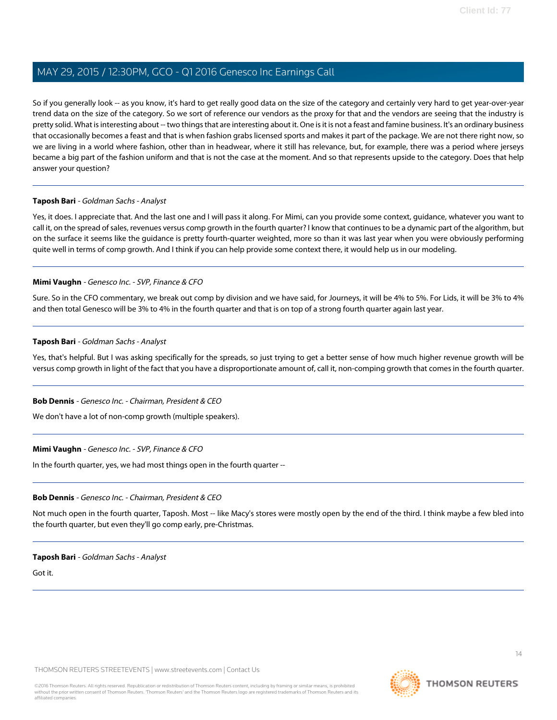So if you generally look -- as you know, it's hard to get really good data on the size of the category and certainly very hard to get year-over-year trend data on the size of the category. So we sort of reference our vendors as the proxy for that and the vendors are seeing that the industry is pretty solid. What is interesting about -- two things that are interesting about it. One is it is not a feast and famine business. It's an ordinary business that occasionally becomes a feast and that is when fashion grabs licensed sports and makes it part of the package. We are not there right now, so we are living in a world where fashion, other than in headwear, where it still has relevance, but, for example, there was a period where jerseys became a big part of the fashion uniform and that is not the case at the moment. And so that represents upside to the category. Does that help answer your question?

#### **Taposh Bari** - Goldman Sachs - Analyst

Yes, it does. I appreciate that. And the last one and I will pass it along. For Mimi, can you provide some context, guidance, whatever you want to call it, on the spread of sales, revenues versus comp growth in the fourth quarter? I know that continues to be a dynamic part of the algorithm, but on the surface it seems like the guidance is pretty fourth-quarter weighted, more so than it was last year when you were obviously performing quite well in terms of comp growth. And I think if you can help provide some context there, it would help us in our modeling.

#### **Mimi Vaughn** - Genesco Inc. - SVP, Finance & CFO

Sure. So in the CFO commentary, we break out comp by division and we have said, for Journeys, it will be 4% to 5%. For Lids, it will be 3% to 4% and then total Genesco will be 3% to 4% in the fourth quarter and that is on top of a strong fourth quarter again last year.

#### **Taposh Bari** - Goldman Sachs - Analyst

Yes, that's helpful. But I was asking specifically for the spreads, so just trying to get a better sense of how much higher revenue growth will be versus comp growth in light of the fact that you have a disproportionate amount of, call it, non-comping growth that comes in the fourth quarter.

#### **Bob Dennis** - Genesco Inc. - Chairman, President & CEO

We don't have a lot of non-comp growth (multiple speakers).

#### **Mimi Vaughn** - Genesco Inc. - SVP, Finance & CFO

In the fourth quarter, yes, we had most things open in the fourth quarter --

#### **Bob Dennis** - Genesco Inc. - Chairman, President & CEO

Not much open in the fourth quarter, Taposh. Most -- like Macy's stores were mostly open by the end of the third. I think maybe a few bled into the fourth quarter, but even they'll go comp early, pre-Christmas.

#### **Taposh Bari** - Goldman Sachs - Analyst

Got it.

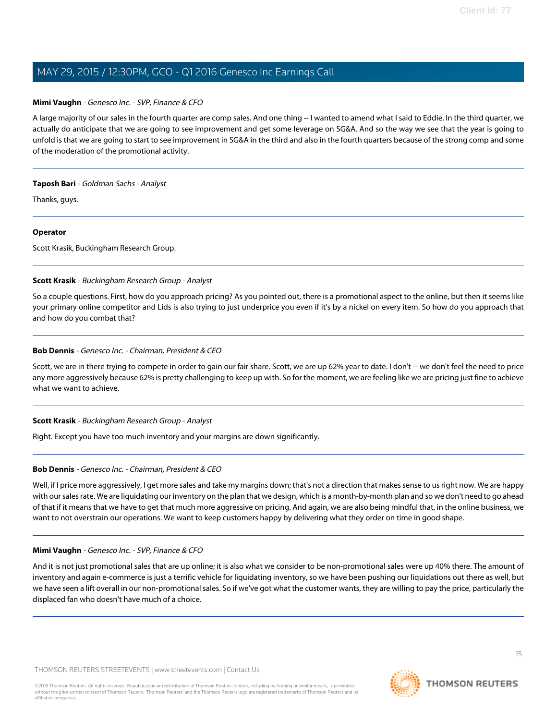#### **Mimi Vaughn** - Genesco Inc. - SVP, Finance & CFO

A large majority of our sales in the fourth quarter are comp sales. And one thing -- I wanted to amend what I said to Eddie. In the third quarter, we actually do anticipate that we are going to see improvement and get some leverage on SG&A. And so the way we see that the year is going to unfold is that we are going to start to see improvement in SG&A in the third and also in the fourth quarters because of the strong comp and some of the moderation of the promotional activity.

#### **Taposh Bari** - Goldman Sachs - Analyst

Thanks, guys.

#### **Operator**

<span id="page-14-0"></span>Scott Krasik, Buckingham Research Group.

#### **Scott Krasik** - Buckingham Research Group - Analyst

So a couple questions. First, how do you approach pricing? As you pointed out, there is a promotional aspect to the online, but then it seems like your primary online competitor and Lids is also trying to just underprice you even if it's by a nickel on every item. So how do you approach that and how do you combat that?

#### **Bob Dennis** - Genesco Inc. - Chairman, President & CEO

Scott, we are in there trying to compete in order to gain our fair share. Scott, we are up 62% year to date. I don't -- we don't feel the need to price any more aggressively because 62% is pretty challenging to keep up with. So for the moment, we are feeling like we are pricing just fine to achieve what we want to achieve.

#### **Scott Krasik** - Buckingham Research Group - Analyst

Right. Except you have too much inventory and your margins are down significantly.

#### **Bob Dennis** - Genesco Inc. - Chairman, President & CEO

Well, if I price more aggressively, I get more sales and take my margins down; that's not a direction that makes sense to us right now. We are happy with our sales rate. We are liquidating our inventory on the plan that we design, which is a month-by-month plan and so we don't need to go ahead of that if it means that we have to get that much more aggressive on pricing. And again, we are also being mindful that, in the online business, we want to not overstrain our operations. We want to keep customers happy by delivering what they order on time in good shape.

#### **Mimi Vaughn** - Genesco Inc. - SVP, Finance & CFO

And it is not just promotional sales that are up online; it is also what we consider to be non-promotional sales were up 40% there. The amount of inventory and again e-commerce is just a terrific vehicle for liquidating inventory, so we have been pushing our liquidations out there as well, but we have seen a lift overall in our non-promotional sales. So if we've got what the customer wants, they are willing to pay the price, particularly the displaced fan who doesn't have much of a choice.

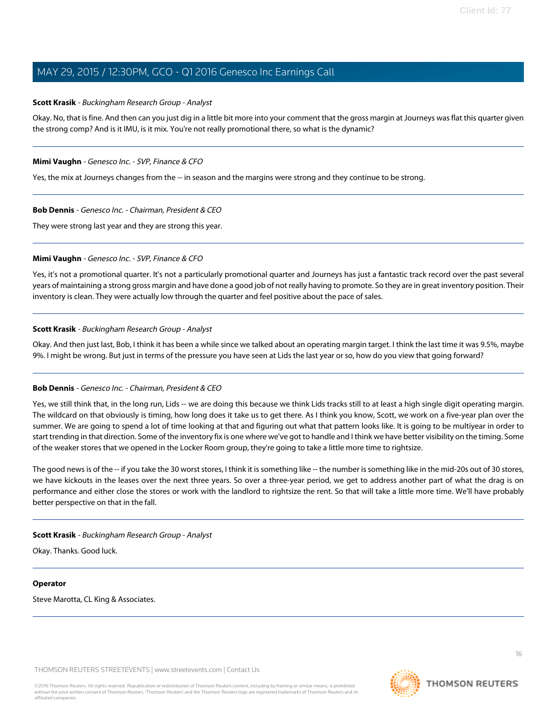#### **Scott Krasik** - Buckingham Research Group - Analyst

Okay. No, that is fine. And then can you just dig in a little bit more into your comment that the gross margin at Journeys was flat this quarter given the strong comp? And is it IMU, is it mix. You're not really promotional there, so what is the dynamic?

#### **Mimi Vaughn** - Genesco Inc. - SVP, Finance & CFO

Yes, the mix at Journeys changes from the -- in season and the margins were strong and they continue to be strong.

#### **Bob Dennis** - Genesco Inc. - Chairman, President & CEO

They were strong last year and they are strong this year.

#### **Mimi Vaughn** - Genesco Inc. - SVP, Finance & CFO

Yes, it's not a promotional quarter. It's not a particularly promotional quarter and Journeys has just a fantastic track record over the past several years of maintaining a strong gross margin and have done a good job of not really having to promote. So they are in great inventory position. Their inventory is clean. They were actually low through the quarter and feel positive about the pace of sales.

#### **Scott Krasik** - Buckingham Research Group - Analyst

Okay. And then just last, Bob, I think it has been a while since we talked about an operating margin target. I think the last time it was 9.5%, maybe 9%. I might be wrong. But just in terms of the pressure you have seen at Lids the last year or so, how do you view that going forward?

#### **Bob Dennis** - Genesco Inc. - Chairman, President & CEO

Yes, we still think that, in the long run, Lids -- we are doing this because we think Lids tracks still to at least a high single digit operating margin. The wildcard on that obviously is timing, how long does it take us to get there. As I think you know, Scott, we work on a five-year plan over the summer. We are going to spend a lot of time looking at that and figuring out what that pattern looks like. It is going to be multiyear in order to start trending in that direction. Some of the inventory fix is one where we've got to handle and I think we have better visibility on the timing. Some of the weaker stores that we opened in the Locker Room group, they're going to take a little more time to rightsize.

The good news is of the -- if you take the 30 worst stores, I think it is something like -- the number is something like in the mid-20s out of 30 stores, we have kickouts in the leases over the next three years. So over a three-year period, we get to address another part of what the drag is on performance and either close the stores or work with the landlord to rightsize the rent. So that will take a little more time. We'll have probably better perspective on that in the fall.

#### **Scott Krasik** - Buckingham Research Group - Analyst

Okay. Thanks. Good luck.

#### **Operator**

Steve Marotta, CL King & Associates.

THOMSON REUTERS STREETEVENTS | [www.streetevents.com](http://www.streetevents.com) | [Contact Us](http://www010.streetevents.com/contact.asp)

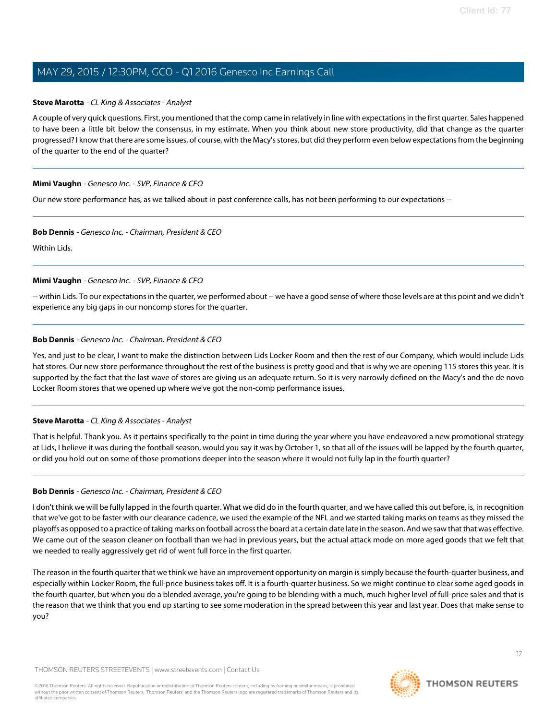#### <span id="page-16-0"></span>**Steve Marotta** - CL King & Associates - Analyst

A couple of very quick questions. First, you mentioned that the comp came in relatively in line with expectations in the first quarter. Sales happened to have been a little bit below the consensus, in my estimate. When you think about new store productivity, did that change as the quarter progressed? I know that there are some issues, of course, with the Macy's stores, but did they perform even below expectations from the beginning of the quarter to the end of the quarter?

#### **Mimi Vaughn** - Genesco Inc. - SVP, Finance & CFO

Our new store performance has, as we talked about in past conference calls, has not been performing to our expectations --

#### **Bob Dennis** - Genesco Inc. - Chairman, President & CEO

Within Lids.

#### **Mimi Vaughn** - Genesco Inc. - SVP, Finance & CFO

-- within Lids. To our expectations in the quarter, we performed about -- we have a good sense of where those levels are at this point and we didn't experience any big gaps in our noncomp stores for the quarter.

#### **Bob Dennis** - Genesco Inc. - Chairman, President & CEO

Yes, and just to be clear, I want to make the distinction between Lids Locker Room and then the rest of our Company, which would include Lids hat stores. Our new store performance throughout the rest of the business is pretty good and that is why we are opening 115 stores this year. It is supported by the fact that the last wave of stores are giving us an adequate return. So it is very narrowly defined on the Macy's and the de novo Locker Room stores that we opened up where we've got the non-comp performance issues.

#### **Steve Marotta** - CL King & Associates - Analyst

That is helpful. Thank you. As it pertains specifically to the point in time during the year where you have endeavored a new promotional strategy at Lids, I believe it was during the football season, would you say it was by October 1, so that all of the issues will be lapped by the fourth quarter, or did you hold out on some of those promotions deeper into the season where it would not fully lap in the fourth quarter?

#### **Bob Dennis** - Genesco Inc. - Chairman, President & CEO

I don't think we will be fully lapped in the fourth quarter. What we did do in the fourth quarter, and we have called this out before, is, in recognition that we've got to be faster with our clearance cadence, we used the example of the NFL and we started taking marks on teams as they missed the playoffs as opposed to a practice of taking marks on football across the board at a certain date late in the season. And we saw that that was effective. We came out of the season cleaner on football than we had in previous years, but the actual attack mode on more aged goods that we felt that we needed to really aggressively get rid of went full force in the first quarter.

The reason in the fourth quarter that we think we have an improvement opportunity on margin is simply because the fourth-quarter business, and especially within Locker Room, the full-price business takes off. It is a fourth-quarter business. So we might continue to clear some aged goods in the fourth quarter, but when you do a blended average, you're going to be blending with a much, much higher level of full-price sales and that is the reason that we think that you end up starting to see some moderation in the spread between this year and last year. Does that make sense to you?

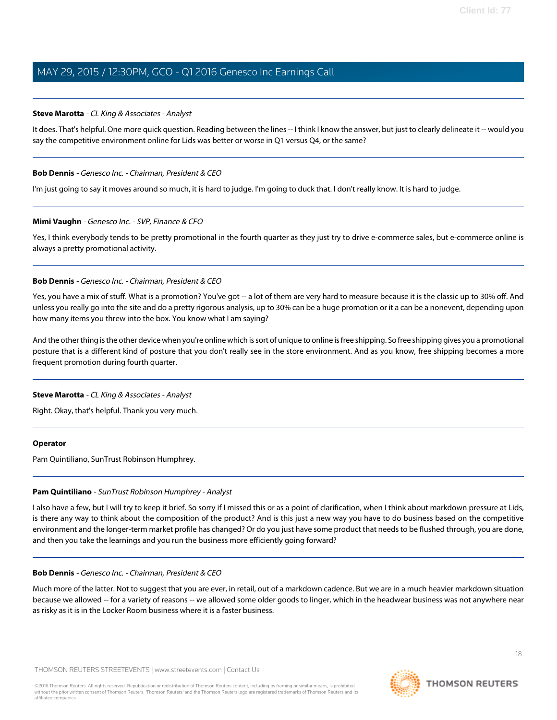#### **Steve Marotta** - CL King & Associates - Analyst

It does. That's helpful. One more quick question. Reading between the lines -- I think I know the answer, but just to clearly delineate it -- would you say the competitive environment online for Lids was better or worse in Q1 versus Q4, or the same?

#### **Bob Dennis** - Genesco Inc. - Chairman, President & CEO

I'm just going to say it moves around so much, it is hard to judge. I'm going to duck that. I don't really know. It is hard to judge.

#### **Mimi Vaughn** - Genesco Inc. - SVP, Finance & CFO

Yes, I think everybody tends to be pretty promotional in the fourth quarter as they just try to drive e-commerce sales, but e-commerce online is always a pretty promotional activity.

#### **Bob Dennis** - Genesco Inc. - Chairman, President & CEO

Yes, you have a mix of stuff. What is a promotion? You've got -- a lot of them are very hard to measure because it is the classic up to 30% off. And unless you really go into the site and do a pretty rigorous analysis, up to 30% can be a huge promotion or it a can be a nonevent, depending upon how many items you threw into the box. You know what I am saying?

And the other thing is the other device when you're online which is sort of unique to online is free shipping. So free shipping gives you a promotional posture that is a different kind of posture that you don't really see in the store environment. And as you know, free shipping becomes a more frequent promotion during fourth quarter.

#### **Steve Marotta** - CL King & Associates - Analyst

Right. Okay, that's helpful. Thank you very much.

#### <span id="page-17-0"></span>**Operator**

Pam Quintiliano, SunTrust Robinson Humphrey.

#### **Pam Quintiliano** - SunTrust Robinson Humphrey - Analyst

I also have a few, but I will try to keep it brief. So sorry if I missed this or as a point of clarification, when I think about markdown pressure at Lids, is there any way to think about the composition of the product? And is this just a new way you have to do business based on the competitive environment and the longer-term market profile has changed? Or do you just have some product that needs to be flushed through, you are done, and then you take the learnings and you run the business more efficiently going forward?

#### **Bob Dennis** - Genesco Inc. - Chairman, President & CEO

Much more of the latter. Not to suggest that you are ever, in retail, out of a markdown cadence. But we are in a much heavier markdown situation because we allowed -- for a variety of reasons -- we allowed some older goods to linger, which in the headwear business was not anywhere near as risky as it is in the Locker Room business where it is a faster business.

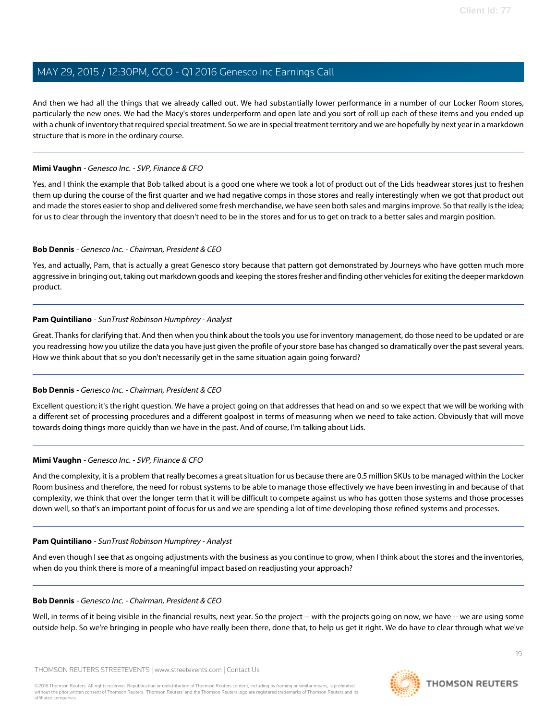And then we had all the things that we already called out. We had substantially lower performance in a number of our Locker Room stores, particularly the new ones. We had the Macy's stores underperform and open late and you sort of roll up each of these items and you ended up with a chunk of inventory that required special treatment. So we are in special treatment territory and we are hopefully by next year in a markdown structure that is more in the ordinary course.

#### **Mimi Vaughn** - Genesco Inc. - SVP, Finance & CFO

Yes, and I think the example that Bob talked about is a good one where we took a lot of product out of the Lids headwear stores just to freshen them up during the course of the first quarter and we had negative comps in those stores and really interestingly when we got that product out and made the stores easier to shop and delivered some fresh merchandise, we have seen both sales and margins improve. So that really is the idea; for us to clear through the inventory that doesn't need to be in the stores and for us to get on track to a better sales and margin position.

#### **Bob Dennis** - Genesco Inc. - Chairman, President & CEO

Yes, and actually, Pam, that is actually a great Genesco story because that pattern got demonstrated by Journeys who have gotten much more aggressive in bringing out, taking out markdown goods and keeping the stores fresher and finding other vehicles for exiting the deeper markdown product.

#### **Pam Quintiliano** - SunTrust Robinson Humphrey - Analyst

Great. Thanks for clarifying that. And then when you think about the tools you use for inventory management, do those need to be updated or are you readressing how you utilize the data you have just given the profile of your store base has changed so dramatically over the past several years. How we think about that so you don't necessarily get in the same situation again going forward?

#### **Bob Dennis** - Genesco Inc. - Chairman, President & CEO

Excellent question; it's the right question. We have a project going on that addresses that head on and so we expect that we will be working with a different set of processing procedures and a different goalpost in terms of measuring when we need to take action. Obviously that will move towards doing things more quickly than we have in the past. And of course, I'm talking about Lids.

#### **Mimi Vaughn** - Genesco Inc. - SVP, Finance & CFO

And the complexity, it is a problem that really becomes a great situation for us because there are 0.5 million SKUs to be managed within the Locker Room business and therefore, the need for robust systems to be able to manage those effectively we have been investing in and because of that complexity, we think that over the longer term that it will be difficult to compete against us who has gotten those systems and those processes down well, so that's an important point of focus for us and we are spending a lot of time developing those refined systems and processes.

#### **Pam Quintiliano** - SunTrust Robinson Humphrey - Analyst

And even though I see that as ongoing adjustments with the business as you continue to grow, when I think about the stores and the inventories, when do you think there is more of a meaningful impact based on readjusting your approach?

#### **Bob Dennis** - Genesco Inc. - Chairman, President & CEO

Well, in terms of it being visible in the financial results, next year. So the project -- with the projects going on now, we have -- we are using some outside help. So we're bringing in people who have really been there, done that, to help us get it right. We do have to clear through what we've

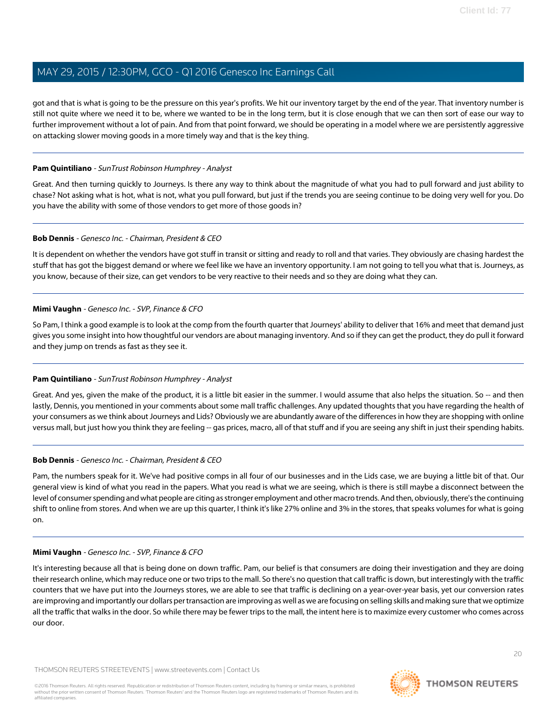got and that is what is going to be the pressure on this year's profits. We hit our inventory target by the end of the year. That inventory number is still not quite where we need it to be, where we wanted to be in the long term, but it is close enough that we can then sort of ease our way to further improvement without a lot of pain. And from that point forward, we should be operating in a model where we are persistently aggressive on attacking slower moving goods in a more timely way and that is the key thing.

#### **Pam Quintiliano** - SunTrust Robinson Humphrey - Analyst

Great. And then turning quickly to Journeys. Is there any way to think about the magnitude of what you had to pull forward and just ability to chase? Not asking what is hot, what is not, what you pull forward, but just if the trends you are seeing continue to be doing very well for you. Do you have the ability with some of those vendors to get more of those goods in?

#### **Bob Dennis** - Genesco Inc. - Chairman, President & CEO

It is dependent on whether the vendors have got stuff in transit or sitting and ready to roll and that varies. They obviously are chasing hardest the stuff that has got the biggest demand or where we feel like we have an inventory opportunity. I am not going to tell you what that is. Journeys, as you know, because of their size, can get vendors to be very reactive to their needs and so they are doing what they can.

#### **Mimi Vaughn** - Genesco Inc. - SVP, Finance & CFO

So Pam, I think a good example is to look at the comp from the fourth quarter that Journeys' ability to deliver that 16% and meet that demand just gives you some insight into how thoughtful our vendors are about managing inventory. And so if they can get the product, they do pull it forward and they jump on trends as fast as they see it.

#### **Pam Quintiliano** - SunTrust Robinson Humphrey - Analyst

Great. And yes, given the make of the product, it is a little bit easier in the summer. I would assume that also helps the situation. So -- and then lastly, Dennis, you mentioned in your comments about some mall traffic challenges. Any updated thoughts that you have regarding the health of your consumers as we think about Journeys and Lids? Obviously we are abundantly aware of the differences in how they are shopping with online versus mall, but just how you think they are feeling -- gas prices, macro, all of that stuff and if you are seeing any shift in just their spending habits.

#### **Bob Dennis** - Genesco Inc. - Chairman, President & CEO

Pam, the numbers speak for it. We've had positive comps in all four of our businesses and in the Lids case, we are buying a little bit of that. Our general view is kind of what you read in the papers. What you read is what we are seeing, which is there is still maybe a disconnect between the level of consumer spending and what people are citing as stronger employment and other macro trends. And then, obviously, there's the continuing shift to online from stores. And when we are up this quarter, I think it's like 27% online and 3% in the stores, that speaks volumes for what is going on.

#### **Mimi Vaughn** - Genesco Inc. - SVP, Finance & CFO

It's interesting because all that is being done on down traffic. Pam, our belief is that consumers are doing their investigation and they are doing their research online, which may reduce one or two trips to the mall. So there's no question that call traffic is down, but interestingly with the traffic counters that we have put into the Journeys stores, we are able to see that traffic is declining on a year-over-year basis, yet our conversion rates are improving and importantly our dollars per transaction are improving as well as we are focusing on selling skills and making sure that we optimize all the traffic that walks in the door. So while there may be fewer trips to the mall, the intent here is to maximize every customer who comes across our door.

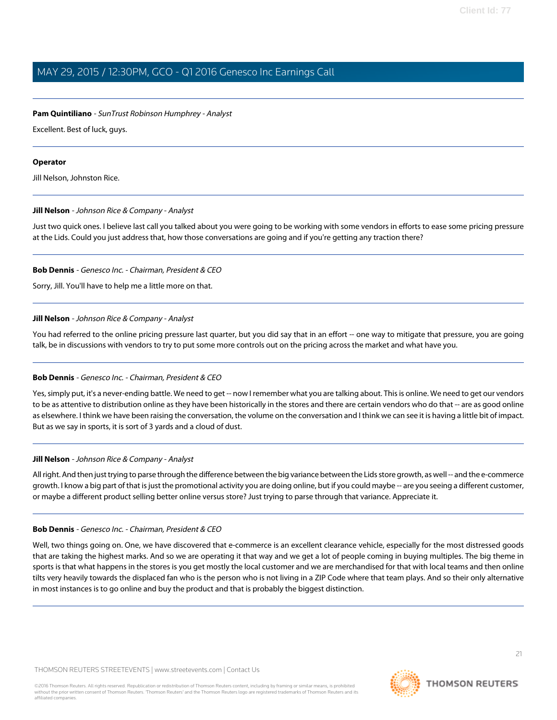### **Pam Quintiliano** - SunTrust Robinson Humphrey - Analyst

Excellent. Best of luck, guys.

### **Operator**

<span id="page-20-0"></span>Jill Nelson, Johnston Rice.

### **Jill Nelson** - Johnson Rice & Company - Analyst

Just two quick ones. I believe last call you talked about you were going to be working with some vendors in efforts to ease some pricing pressure at the Lids. Could you just address that, how those conversations are going and if you're getting any traction there?

### **Bob Dennis** - Genesco Inc. - Chairman, President & CEO

Sorry, Jill. You'll have to help me a little more on that.

### **Jill Nelson** - Johnson Rice & Company - Analyst

You had referred to the online pricing pressure last quarter, but you did say that in an effort -- one way to mitigate that pressure, you are going talk, be in discussions with vendors to try to put some more controls out on the pricing across the market and what have you.

### **Bob Dennis** - Genesco Inc. - Chairman, President & CEO

Yes, simply put, it's a never-ending battle. We need to get -- now I remember what you are talking about. This is online. We need to get our vendors to be as attentive to distribution online as they have been historically in the stores and there are certain vendors who do that -- are as good online as elsewhere. I think we have been raising the conversation, the volume on the conversation and I think we can see it is having a little bit of impact. But as we say in sports, it is sort of 3 yards and a cloud of dust.

### **Jill Nelson** - Johnson Rice & Company - Analyst

All right. And then just trying to parse through the difference between the big variance between the Lids store growth, as well -- and the e-commerce growth. I know a big part of that is just the promotional activity you are doing online, but if you could maybe -- are you seeing a different customer, or maybe a different product selling better online versus store? Just trying to parse through that variance. Appreciate it.

### **Bob Dennis** - Genesco Inc. - Chairman, President & CEO

Well, two things going on. One, we have discovered that e-commerce is an excellent clearance vehicle, especially for the most distressed goods that are taking the highest marks. And so we are operating it that way and we get a lot of people coming in buying multiples. The big theme in sports is that what happens in the stores is you get mostly the local customer and we are merchandised for that with local teams and then online tilts very heavily towards the displaced fan who is the person who is not living in a ZIP Code where that team plays. And so their only alternative in most instances is to go online and buy the product and that is probably the biggest distinction.



**THOMSON REUTERS**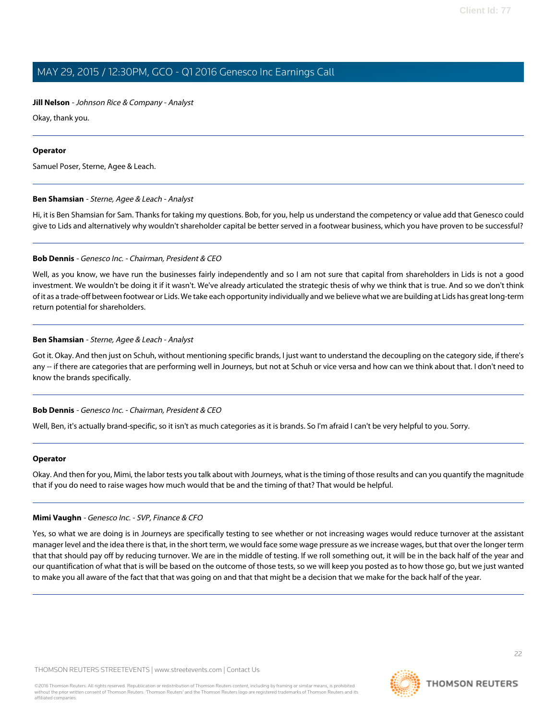#### **Jill Nelson** - Johnson Rice & Company - Analyst

Okay, thank you.

#### **Operator**

<span id="page-21-0"></span>Samuel Poser, Sterne, Agee & Leach.

#### **Ben Shamsian** - Sterne, Agee & Leach - Analyst

Hi, it is Ben Shamsian for Sam. Thanks for taking my questions. Bob, for you, help us understand the competency or value add that Genesco could give to Lids and alternatively why wouldn't shareholder capital be better served in a footwear business, which you have proven to be successful?

#### **Bob Dennis** - Genesco Inc. - Chairman, President & CEO

Well, as you know, we have run the businesses fairly independently and so I am not sure that capital from shareholders in Lids is not a good investment. We wouldn't be doing it if it wasn't. We've already articulated the strategic thesis of why we think that is true. And so we don't think of it as a trade-off between footwear or Lids. We take each opportunity individually and we believe what we are building at Lids has great long-term return potential for shareholders.

#### **Ben Shamsian** - Sterne, Agee & Leach - Analyst

Got it. Okay. And then just on Schuh, without mentioning specific brands, I just want to understand the decoupling on the category side, if there's any -- if there are categories that are performing well in Journeys, but not at Schuh or vice versa and how can we think about that. I don't need to know the brands specifically.

#### **Bob Dennis** - Genesco Inc. - Chairman, President & CEO

Well, Ben, it's actually brand-specific, so it isn't as much categories as it is brands. So I'm afraid I can't be very helpful to you. Sorry.

#### **Operator**

Okay. And then for you, Mimi, the labor tests you talk about with Journeys, what is the timing of those results and can you quantify the magnitude that if you do need to raise wages how much would that be and the timing of that? That would be helpful.

#### **Mimi Vaughn** - Genesco Inc. - SVP, Finance & CFO

Yes, so what we are doing is in Journeys are specifically testing to see whether or not increasing wages would reduce turnover at the assistant manager level and the idea there is that, in the short term, we would face some wage pressure as we increase wages, but that over the longer term that that should pay off by reducing turnover. We are in the middle of testing. If we roll something out, it will be in the back half of the year and our quantification of what that is will be based on the outcome of those tests, so we will keep you posted as to how those go, but we just wanted to make you all aware of the fact that that was going on and that that might be a decision that we make for the back half of the year.

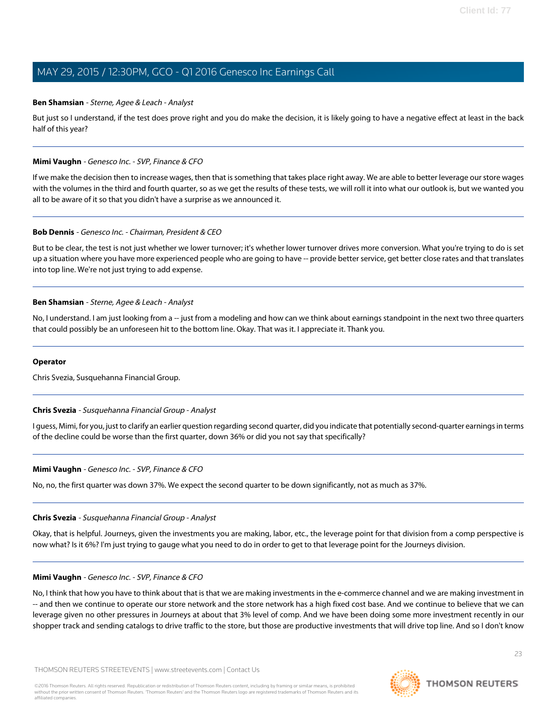#### **Ben Shamsian** - Sterne, Agee & Leach - Analyst

But just so I understand, if the test does prove right and you do make the decision, it is likely going to have a negative effect at least in the back half of this year?

#### **Mimi Vaughn** - Genesco Inc. - SVP, Finance & CFO

If we make the decision then to increase wages, then that is something that takes place right away. We are able to better leverage our store wages with the volumes in the third and fourth quarter, so as we get the results of these tests, we will roll it into what our outlook is, but we wanted you all to be aware of it so that you didn't have a surprise as we announced it.

#### **Bob Dennis** - Genesco Inc. - Chairman, President & CEO

But to be clear, the test is not just whether we lower turnover; it's whether lower turnover drives more conversion. What you're trying to do is set up a situation where you have more experienced people who are going to have -- provide better service, get better close rates and that translates into top line. We're not just trying to add expense.

#### **Ben Shamsian** - Sterne, Agee & Leach - Analyst

No, I understand. I am just looking from a -- just from a modeling and how can we think about earnings standpoint in the next two three quarters that could possibly be an unforeseen hit to the bottom line. Okay. That was it. I appreciate it. Thank you.

#### <span id="page-22-0"></span>**Operator**

Chris Svezia, Susquehanna Financial Group.

#### **Chris Svezia** - Susquehanna Financial Group - Analyst

I guess, Mimi, for you, just to clarify an earlier question regarding second quarter, did you indicate that potentially second-quarter earnings in terms of the decline could be worse than the first quarter, down 36% or did you not say that specifically?

#### **Mimi Vaughn** - Genesco Inc. - SVP, Finance & CFO

No, no, the first quarter was down 37%. We expect the second quarter to be down significantly, not as much as 37%.

#### **Chris Svezia** - Susquehanna Financial Group - Analyst

Okay, that is helpful. Journeys, given the investments you are making, labor, etc., the leverage point for that division from a comp perspective is now what? Is it 6%? I'm just trying to gauge what you need to do in order to get to that leverage point for the Journeys division.

#### **Mimi Vaughn** - Genesco Inc. - SVP, Finance & CFO

No, I think that how you have to think about that is that we are making investments in the e-commerce channel and we are making investment in -- and then we continue to operate our store network and the store network has a high fixed cost base. And we continue to believe that we can leverage given no other pressures in Journeys at about that 3% level of comp. And we have been doing some more investment recently in our shopper track and sending catalogs to drive traffic to the store, but those are productive investments that will drive top line. And so I don't know

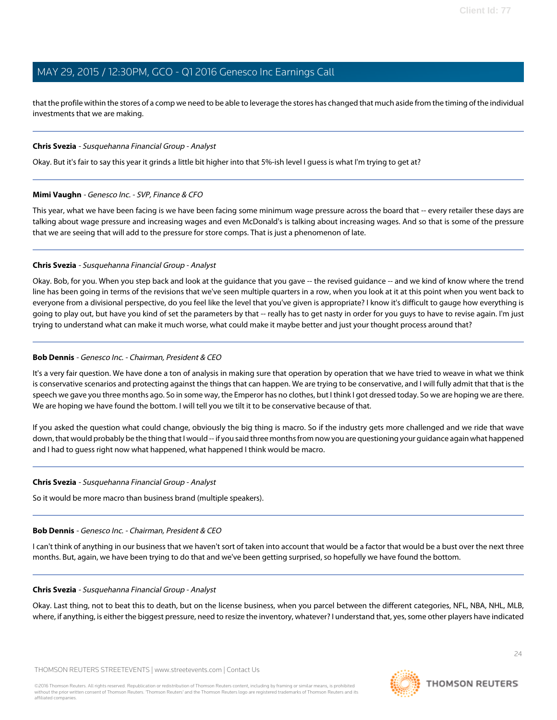that the profile within the stores of a comp we need to be able to leverage the stores has changed that much aside from the timing of the individual investments that we are making.

#### **Chris Svezia** - Susquehanna Financial Group - Analyst

Okay. But it's fair to say this year it grinds a little bit higher into that 5%-ish level I guess is what I'm trying to get at?

#### **Mimi Vaughn** - Genesco Inc. - SVP, Finance & CFO

This year, what we have been facing is we have been facing some minimum wage pressure across the board that -- every retailer these days are talking about wage pressure and increasing wages and even McDonald's is talking about increasing wages. And so that is some of the pressure that we are seeing that will add to the pressure for store comps. That is just a phenomenon of late.

#### **Chris Svezia** - Susquehanna Financial Group - Analyst

Okay. Bob, for you. When you step back and look at the guidance that you gave -- the revised guidance -- and we kind of know where the trend line has been going in terms of the revisions that we've seen multiple quarters in a row, when you look at it at this point when you went back to everyone from a divisional perspective, do you feel like the level that you've given is appropriate? I know it's difficult to gauge how everything is going to play out, but have you kind of set the parameters by that -- really has to get nasty in order for you guys to have to revise again. I'm just trying to understand what can make it much worse, what could make it maybe better and just your thought process around that?

#### **Bob Dennis** - Genesco Inc. - Chairman, President & CEO

It's a very fair question. We have done a ton of analysis in making sure that operation by operation that we have tried to weave in what we think is conservative scenarios and protecting against the things that can happen. We are trying to be conservative, and I will fully admit that that is the speech we gave you three months ago. So in some way, the Emperor has no clothes, but I think I got dressed today. So we are hoping we are there. We are hoping we have found the bottom. I will tell you we tilt it to be conservative because of that.

If you asked the question what could change, obviously the big thing is macro. So if the industry gets more challenged and we ride that wave down, that would probably be the thing that I would -- if you said three months from now you are questioning your guidance again what happened and I had to guess right now what happened, what happened I think would be macro.

#### **Chris Svezia** - Susquehanna Financial Group - Analyst

So it would be more macro than business brand (multiple speakers).

### **Bob Dennis** - Genesco Inc. - Chairman, President & CEO

I can't think of anything in our business that we haven't sort of taken into account that would be a factor that would be a bust over the next three months. But, again, we have been trying to do that and we've been getting surprised, so hopefully we have found the bottom.

### **Chris Svezia** - Susquehanna Financial Group - Analyst

Okay. Last thing, not to beat this to death, but on the license business, when you parcel between the different categories, NFL, NBA, NHL, MLB, where, if anything, is either the biggest pressure, need to resize the inventory, whatever? I understand that, yes, some other players have indicated